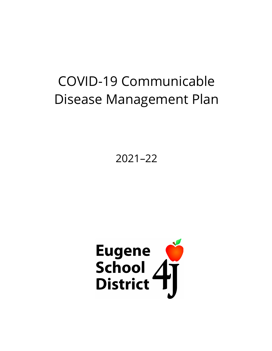# COVID-19 Communicable Disease Management Plan

2021–22

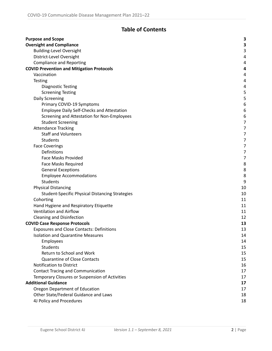# **Table of Contents**

| <b>Purpose and Scope</b>                               |                  |
|--------------------------------------------------------|------------------|
|                                                        | 3                |
| <b>Oversight and Compliance</b>                        | 3<br>3           |
| <b>Building-Level Oversight</b>                        | 4                |
| District-Level Oversight                               |                  |
| <b>Compliance and Reporting</b>                        | 4                |
| <b>COVID Prevention and Mitigation Protocols</b>       | 4                |
| Vaccination                                            | 4                |
| <b>Testing</b>                                         | 4                |
| <b>Diagnostic Testing</b>                              | 4                |
| <b>Screening Testing</b>                               | 5                |
| Daily Screening                                        | 5                |
| Primary COVID-19 Symptoms                              | $\boldsymbol{6}$ |
| Employee Daily Self-Checks and Attestation             | 6                |
| Screening and Attestation for Non-Employees            | 6                |
| <b>Student Screening</b>                               | $\overline{7}$   |
| <b>Attendance Tracking</b>                             | $\overline{7}$   |
| <b>Staff and Volunteers</b>                            | $\overline{7}$   |
| Students                                               | $\overline{7}$   |
| <b>Face Coverings</b>                                  | $\overline{7}$   |
| Definitions                                            | 7                |
| <b>Face Masks Provided</b>                             | $\overline{7}$   |
| <b>Face Masks Required</b>                             | 8                |
| <b>General Exceptions</b>                              | 8                |
| <b>Employee Accommodations</b>                         | 8                |
| <b>Students</b>                                        | 9                |
| <b>Physical Distancing</b>                             | 10               |
| <b>Student-Specific Physical Distancing Strategies</b> | 10               |
| Cohorting                                              | 11               |
| Hand Hygiene and Respiratory Etiquette                 | 11               |
| Ventilation and Airflow                                | 11               |
| <b>Cleaning and Disinfection</b>                       | 12               |
| <b>COVID Case Response Protocols</b>                   | 13               |
| <b>Exposures and Close Contacts: Definitions</b>       | 13               |
| <b>Isolation and Quarantine Measures</b>               | 14               |
| Employees                                              | 14               |
| <b>Students</b>                                        | 15               |
| Return to School and Work                              | 15               |
| <b>Quarantine of Close Contacts</b>                    | 15               |
| <b>Notification to District</b>                        | 16               |
| <b>Contact Tracing and Communication</b>               | 17               |
| Temporary Closures or Suspension of Activities         | 17               |
| <b>Additional Guidance</b>                             | 17               |
| Oregon Department of Education                         | 17               |
| Other State/Federal Guidance and Laws                  | 18               |
| 4J Policy and Procedures                               | 18               |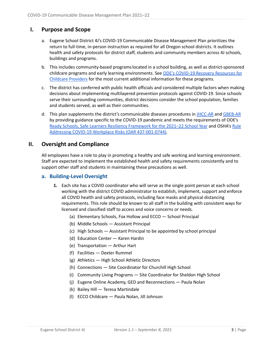# <span id="page-2-0"></span>**I. Purpose and Scope**

- a. Eugene School District 4J's COVID-19 Communicable Disease Management Plan prioritizes the return to full-time, in-person instruction as required for all Oregon school districts. It outlines health and safety protocols for district staff, students and community members across 4J schools, buildings and programs.
- b. This includes community-based programslocated in a school building, as well as district-sponsored childcare programs and early learning environments. See ODE's COVID-19 Recovery [Resources](https://oregonearlylearning.com/COVID-19-Resources/For-Providers) for Childcare [Providers](https://oregonearlylearning.com/COVID-19-Resources/For-Providers) for the most current additional information for these programs.
- c. The district has conferred with public health officials and considered multiple factors when making decisions about implementing multilayered prevention protocols against COVID-19. Since schools serve their surrounding communities, district decisions consider the school population, families and students served, as well as their communities.
- d. This plan supplements the district's communicable diseases procedures in [JHCC-AR](https://policy.osba.org/eugene/J/JHCC%20R%20D1.PDF) and [GBEB-AR](https://policy.osba.org/eugene/G/GBEB%20R%20D1.PDF) by providing guidance specific to the COVID-19 pandemic and meets the requirements of ODE's Ready Schools, Safe Learners Resiliency [Framework](https://www.oregon.gov/ode/students-and-family/healthsafety/Documents/Ready%20Schools%20Safe%20Learners%20Resiliency%20Framework%20for%20the%202021-22%20School%20Year.pdf) for the 2021–22 School Year and OSHA's [Rule](https://osha.oregon.gov/OSHARules/div1/437-001-0744.pdf) Addressing COVID-19 Workplace Risks (OAR [437-001-0744\).](https://osha.oregon.gov/OSHARules/div1/437-001-0744.pdf)

# <span id="page-2-1"></span>**II. Oversight and Compliance**

All employees have a role to play in promoting a healthy and safe working and learning environment. Staff are expected to implement the established health and safety requirements consistently and to support other staff and students in maintaining these precautions as well.

# <span id="page-2-2"></span>**a. Building-Level Oversight**

- **1.** Each site has a COVID coordinator who will serve as the single point person at each school working with the district COVID administrator to establish, implement, support and enforce all COVID health and safety protocols, including face masks and physical distancing requirements. This role should be known to all staff in the building with consistent ways for licensed and classified staff to access and voice concerns or needs.
	- (a) Elementary Schools, Fox Hollow and ECCO School Principal
	- (b) Middle Schools Assistant Principal
	- (c) High Schools Assistant Principal to be appointed by school principal
	- (d) Education Center Karen Hardin
	- (e) Transportation Arthur Hart
	- (f) Facilities Dexter Rummel
	- (g) Athletics High School Athletic Directors
	- (h) Connections Site Coordinator for Churchill High School
	- (i) Community Living Programs Site Coordinator for Sheldon High School
	- (j) Eugene Online Academy, GED and Reconnections Paula Nolan
	- (k) Bailey Hill Teresa Martindale
	- (l) ECCO Childcare Paula Nolan, Jill Johnson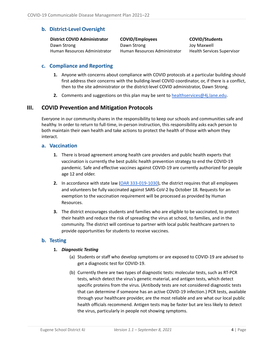# <span id="page-3-0"></span>**b. District-Level Oversight**

**District COVID Administrator** Dawn Strong Human Resources Administrator

**COVID/Employees** Dawn Strong Human Resources Administrator

**COVID/Students** Joy Maxwell Health Services Supervisor

# <span id="page-3-1"></span>**c. Compliance and Reporting**

- **1.** Anyone with concerns about compliance with COVID protocols at a particular building should first address their concerns with the building-level COVID coordinator, or, if there is a conflict, then to the site administrator or the district-level COVID administrator, Dawn Strong.
- **2.** Comments and suggestions on this plan may be sent to [healthservices@4j.lane.edu](mailto:healthservices@4j.lane.edu).

# <span id="page-3-2"></span>**III. COVID Prevention and Mitigation Protocols**

Everyone in our community shares in the responsibility to keep our schools and communities safe and healthy. In order to return to full-time, in-person instruction, this responsibility asks each person to both maintain their own health and take actions to protect the health of those with whom they interact.

#### <span id="page-3-3"></span>**a. Vaccination**

- **1.** There is broad agreement among health care providers and public health experts that vaccination is currently the best public health prevention strategy to end the COVID-19 pandemic. Safe and effective vaccines against COVID-19 are currently authorized for people age 12 and older.
- **2.** In accordance with state law (OAR [333-019-1030\)](https://secure.sos.state.or.us/oard/viewSingleRule.action?ruleVrsnRsn=280616), the district requires that all employees and volunteers be fully vaccinated against SARS-CoV-2 by October 18. Requests for an exemption to the vaccination requirement will be processed as provided by Human Resources.
- **3.** The district encourages students and families who are eligible to be vaccinated, to protect their health and reduce the risk of spreading the virus at school, to families, and in the community. The district will continue to partner with local public healthcare partners to provide opportunities for students to receive vaccines.

# <span id="page-3-5"></span><span id="page-3-4"></span>**b. Testing**

#### **1.** *Diagnostic Testing*

- (a) Students or staff who develop symptoms or are exposed to COVID-19 are advised to get a diagnostic test for COVID-19.
- (b) Currently there are two types of diagnostic tests: molecular tests, such as RT-PCR tests, which detect the virus's genetic material, and antigen tests, which detect specific proteins from the virus. (Antibody tests are not considered diagnostic tests that can determine if someone has an active COVID-19 infection.) PCR tests, available through your healthcare provider, are the most reliable and are what our local public health officials recommend. Antigen tests may be faster but are less likely to detect the virus, particularly in people not showing symptoms.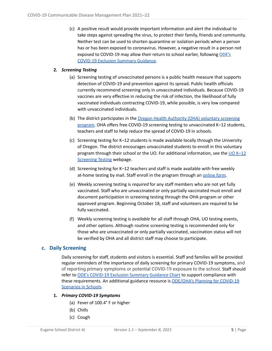(c) A positive result would provide important information and alert the individual to take steps against spreading the virus, to protect their family, friends and community. Neither test can be used to shorten quarantine or isolation periods when a person has or has been exposed to coronavirus. However, a negative result in a person not exposed to COVID-19 may allow their return to school earlier, following [ODE's](https://www.oregon.gov/ode/students-and-family/healthsafety/Documents/COVID-19%20Exclusion%20Summary%20Chart.pdf) [COVID-19](https://www.oregon.gov/ode/students-and-family/healthsafety/Documents/COVID-19%20Exclusion%20Summary%20Chart.pdf) Exclusion Summary Guidance.

#### <span id="page-4-0"></span>**2.** *Screening Testing*

- (a) Screening testing of unvaccinated persons is a public health measure that supports detection of COVID-19 and prevention against its spread. Public health officials currently recommend screening only in unvaccinated individuals. Because COVID-19 vaccines are very effective in reducing the risk of infection, the likelihood of fully vaccinated individuals contracting COVID-19, while possible, is very low compared with unvaccinated individuals.
- (b) The district participates in the Oregon Health Authority (OHA) voluntary [screening](https://sharedsystems.dhsoha.state.or.us/DHSForms/Served/le3798.pdf) [program.](https://sharedsystems.dhsoha.state.or.us/DHSForms/Served/le3798.pdf) OHA offers free COVID-19 screening testing to unvaccinated K–12 students, teachers and staff to help reduce the spread of COVID-19 in schools.
- (c) Screening testing for K–12 students is made available locally through the University of Oregon. The district encourages unvaccinated students to enroll in this voluntary program through their school or the UO. For additional information, see the  $\underline{\text{U0 K-12}}$ **[Screening](https://coronavirus.uoregon.edu/k12testing) Testing webpage.**
- (d) Screening testing for K–12 teachers and staff is made available with free weekly at-home testing by mail. Staff enroll in the program through an [online](https://forms.office.com/Pages/ResponsePage.aspx?id=6GOOZTmNnEmPSBOtyUUvTFK5bmmOdhJLmgCR_KMq9KlURU1XWDFMNDZTME9JSkc4U1dBWVhBWlQ5Vi4u) form.
- (e) Weekly screening testing is *required* for any staff members who are not yet fully vaccinated. Staff who are unvaccinated or only partially vaccinated must enroll and document participation in screening testing through the OHA program or other approved program. Beginning October 18, staff and volunteers are required to be fully vaccinated.
- (f) Weekly screening testing is *available* for all staff through OHA, UO testing events, and other options. Although routine screening testing is recommended only for those who are unvaccinated or only partially vaccinated, vaccination status will not be verified by OHA and all district staff may choose to participate.

# <span id="page-4-1"></span>**c. Daily Screening**

Daily screening for staff, students and visitors is essential. Staff and families will be provided regular reminders of the importance of daily screening for primary COVID-19 symptoms, and of reporting primary symptoms or potential COVID-19 exposure to the school. Staff should refer to ODE's [COVID-19](https://www.oregon.gov/ode/students-and-family/healthsafety/Documents/COVID-19%20Exclusion%20Summary%20Chart.pdf) Exclusion Summary Guidance Chart to support compliance with these requirements. An additional guidance resource is [ODE/OHA's](https://www.oregon.gov/ode/students-and-family/healthsafety/Documents/Planning%20and%20Responding%20to%20COVID-19%20Scenarios%20in%20Schools.pdf) Planning for COVID-19 [Scenarios](https://www.oregon.gov/ode/students-and-family/healthsafety/Documents/Planning%20and%20Responding%20to%20COVID-19%20Scenarios%20in%20Schools.pdf) in Schools.

#### <span id="page-4-2"></span>**1.** *Primary COVID-19 Symptoms*

- (a) Fever of 100.4° F or higher
- (b) Chills
- (c) Cough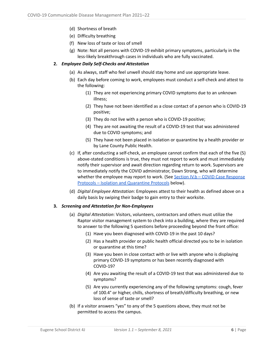- (d) Shortness of breath
- (e) Difficulty breathing
- (f) New loss of taste or loss of smell
- (g) Note: Not all persons with COVID-19 exhibit primary symptoms, particularly in the less-likely breakthrough cases in individuals who are fully vaccinated.

#### <span id="page-5-0"></span>**2.** *Employee Daily Self-Checks and Attestation*

- (a) As always, staff who feel unwell should stay home and use appropriate leave.
- (b) Each day before coming to work, employees must conduct a self-check and attest to the following:
	- (1) They are not experiencing primary COVID symptoms due to an unknown illness;
	- (2) They have not been identified as a close contact of a person who is COVID-19 positive;
	- (3) They do not live with a person who is COVID-19 positive;
	- (4) They are not awaiting the result of a COVID-19 test that was administered due to COVID symptoms; and
	- (5) They have not been placed in isolation or quarantine by a health provider or by Lane County Public Health.
- (c) If, after conducting a self-check, an employee cannot confirm that each of the five (5) above-stated conditions is true, they must not report to work and must immediately notify their supervisor and await direction regarding return to work. Supervisors are to immediately notify the COVID administrator, Dawn Strong, who will determine whether the employee may report to work. (See Section IV.b – COVID Case [Response](#page-12-0) Protocols – Isolation and [Quarantine](#page-12-0) Protocols below).
- (d) *Digital Employee Attestation*: Employees attest to their health as defined above on a daily basis by swiping their badge to gain entry to their worksite.

#### <span id="page-5-1"></span>**3.** *Screening and Attestation for Non-Employees*

- (a) *Digital Attestation*: Visitors, volunteers, contractors and others must utilize the Raptor visitor management system to check into a building, where they are required to answer to the following 5 questions before proceeding beyond the front office:
	- (1) Have you been diagnosed with COVID-19 in the past 10 days?
	- (2) Has a health provider or public health official directed you to be in isolation or quarantine at this time?
	- (3) Have you been in close contact with or live with anyone who is displaying primary COVID-19 symptoms or has been recently diagnosed with COVID-19?
	- (4) Are you awaiting the result of a COVID-19 test that was administered due to symptoms?
	- (5) Are you currently experiencing any of the following symptoms: cough, fever of 100.4° or higher, chills, shortness of breath/difficulty breathing, or new loss of sense of taste or smell?
- (b) If a visitor answers "yes" to any of the 5 questions above, they must not be permitted to access the campus.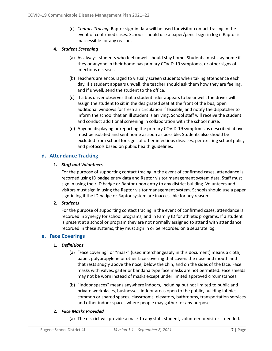(c) *Contact Tracing*: Raptor sign-in data will be used for visitor contact tracing in the event of confirmed cases. Schools should use a paper/pencil sign-in log if Raptor is inaccessible for any reason.

#### <span id="page-6-0"></span>**4.** *Student Screening*

- (a) As always, students who feel unwell should stay home. Students must stay home if they or anyone in their home has primary COVID-19 symptoms, or other signs of infectious diseases.
- (b) Teachers are encouraged to visually screen students when taking attendance each day. If a student appears unwell, the teacher should ask them how they are feeling, and if unwell, send the student to the office.
- (c) If a bus driver observes that a student rider appears to be unwell, the driver will assign the student to sit in the designated seat at the front of the bus, open additional windows for fresh air circulation if feasible, and notify the dispatcher to inform the school that an ill student is arriving. School staff will receive the student and conduct additional screening in collaboration with the school nurse.
- (d) Anyone displaying or reporting the primary COVID-19 symptoms as described above must be isolated and sent home as soon as possible. Students also should be excluded from school for signs of other infectious diseases, per existing school policy and protocols based on public health guidelines.

# <span id="page-6-2"></span><span id="page-6-1"></span>**d. Attendance Tracking**

#### **1.** *Staff and Volunteers*

For the purpose of supporting contact tracing in the event of confirmed cases, attendance is recorded using ID badge entry data and Raptor visitor management system data. Staff must sign in using their ID badge or Raptor upon entry to any district building. Volunteers and visitors must sign in using the Raptor visitor management system. Schools should use a paper sign-in log if the ID badge or Raptor system are inaccessible for any reason.

#### <span id="page-6-3"></span>**2.** *Students*

For the purpose of supporting contact tracing in the event of confirmed cases, attendance is recorded in Synergy for school programs, and in Family ID for athletic programs. If a student is present at a school or program they are not normally assigned to attend with attendance recorded in these systems, they must sign in or be recorded on a separate log.

#### <span id="page-6-5"></span><span id="page-6-4"></span>**e. Face Coverings**

#### **1.** *Definitions*

- (a) "Face covering" or "mask" (used interchangeably in this document) means a cloth, paper, polypropylene or other face covering that covers the nose and mouth and that rests snugly above the nose, below the chin, and on the sides of the face. Face masks with valves, gaiter or bandana type face masks are not permitted. Face shields may not be worn instead of masks except under limited approved circumstances.
- (b) "Indoor spaces" means anywhere indoors, including but not limited to public and private workplaces, businesses, indoor areas open to the public, building lobbies, common or shared spaces, classrooms, elevators, bathrooms, transportation services and other indoor spaces where people may gather for any purpose.

#### <span id="page-6-6"></span>**2.** *Face Masks Provided*

(a) The district will provide a mask to any staff, student, volunteer or visitor if needed.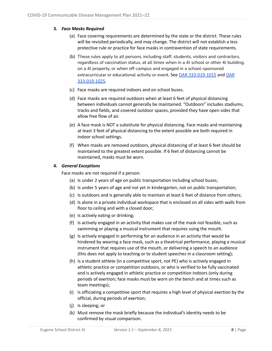#### <span id="page-7-0"></span>**3.** *Face Masks Required*

- (a) Face covering requirements are determined by the state or the district. These rules will be revisited periodically, and may change. The district will not establish a less protective rule or practice for face masks in contravention of state requirements.
- (b) These rules apply to all persons, including staff, students, visitors and contractors, regardless of vaccination status, at all times when in a 4J school or other 4J building, on a 4J property, or when off-campus and engaged in a school-sponsored extracurricular or educational activity or event. See OAR [333-019-1015](https://secure.sos.state.or.us/oard/viewSingleRule.action?ruleVrsnRsn=280834) and [OAR](https://secure.sos.state.or.us/oard/viewSingleRule.action?ruleVrsnRsn=280420) [333-019-1025](https://secure.sos.state.or.us/oard/viewSingleRule.action?ruleVrsnRsn=280420).
- (c) Face masks are required indoors and on school buses.
- (d) Face masks are required outdoors when at least 6 feet of physical distancing between individuals cannot generally be maintained. "Outdoors" includes stadiums, tracks and fields, and covered outdoor spaces, provided they have open sides that allow free flow of air.
- (e) A face mask is NOT a substitute for physical distancing. Face masks and maintaining at least 3 feet of physical distancing to the extent possible are both required in indoor school settings.
- (f) When masks are removed outdoors, physical distancing of at least 6 feet should be maintained to the greatest extent possible. If 6 feet of distancing cannot be maintained, masks must be worn.

#### <span id="page-7-1"></span>**4.** *General Exceptions*

Face masks are not required if a person:

- (a) Is under 2 years of age on public transportation including school buses;
- (b) Is under 5 years of age and not yet in kindergarten, not on public transportation;
- (c) Is outdoors and is generally able to maintain at least 6 feet of distance from others;
- (d) Is alone in a private individual workspace that is enclosed on all sides with walls from floor to ceiling and with a closed door;
- (e) Is actively eating or drinking;
- (f) Is actively engaged in an activity that makes use of the mask not feasible, such as swimming or playing a musical instrument that requires using the mouth.
- (g) Is actively engaged in performing for an audience in an activity that would be hindered by wearing a face mask, such as a theatrical performance, playing a musical instrument that requires use of the mouth, or delivering a speech to an audience (this does not apply to teaching or to student speeches in a classroom setting);
- (h) Is a student athlete (in a competitive sport, not PE) who is actively engaged in athletic practice or competition outdoors, or who is verified to be fully vaccinated and is actively engaged in athletic practice or competition indoors (only during periods of exertion; face masks must be worn on the bench and at times such as team meetings);
- (i) Is officiating a competitive sport that requires a high level of physical exertion by the official, during periods of exertion;
- (j) Is sleeping; or
- (k) Must remove the mask briefly because the individual's identity needs to be confirmed by visual comparison.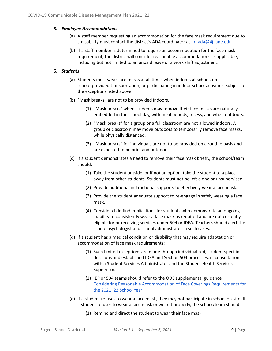#### <span id="page-8-0"></span>**5.** *Employee Accommodations*

- (a) A staff member requesting an accommodation for the face mask requirement due to a disability must contact the district's ADA coordinator at [hr\\_ada@4j.lane.edu.](mailto:hr_ada@4j.lane.edu)
- (b) If a staff member is determined to require an accommodation for the face mask requirement, the district will consider reasonable accommodations as applicable, including but not limited to an unpaid leave or a work shift adjustment.

#### <span id="page-8-1"></span>**6.** *Students*

- (a) Students must wear face masks at all times when indoors at school, on school-provided transportation, or participating in indoor school activities, subject to the exceptions listed above.
- (b) "Mask breaks" are not to be provided indoors.
	- (1) "Mask breaks" when students may remove their face masks are naturally embedded in the school day, with meal periods, recess, and when outdoors.
	- (2) "Mask breaks" for a group or a full classroom are not allowed indoors. A group or classroom may move outdoors to temporarily remove face masks, while physically distanced.
	- (3) "Mask breaks" for individuals are not to be provided on a routine basis and are expected to be brief and outdoors.
- (c) If a student demonstrates a need to remove their face mask briefly, the school/team should:
	- (1) Take the student outside, or if not an option, take the student to a place away from other students. Students must not be left alone or unsupervised.
	- (2) Provide additional instructional supports to effectively wear a face mask.
	- (3) Provide the student adequate support to re-engage in safely wearing a face mask.
	- (4) Consider child find implications for students who demonstrate an ongoing inability to consistently wear a face mask as required and are not currently eligible for or receiving services under 504 or IDEA. Teachers should alert the school psychologist and school administrator in such cases.
- (d) If a student has a medical condition or disability that may require adaptation or accommodation of face mask requirements:
	- (1) Such limited exceptions are made through individualized, student-specific decisions and established IDEA and Section 504 processes, in consultation with a Student Services Administrator and the Student Health Services Supervisor.
	- (2) IEP or 504 teams should refer to the ODE supplemental guidance Considering Reasonable [Accommodation](https://www.oregon.gov/ode/students-and-family/healthsafety/Documents/Face%20Covering%20Supplemental%20Guidance.pdf) of Face Coverings Requirements for the [2021–22](https://www.oregon.gov/ode/students-and-family/healthsafety/Documents/Face%20Covering%20Supplemental%20Guidance.pdf) School Year.
- (e) If a student refuses to wear a face mask, they may not participate in school on-site. If a student refuses to wear a face mask or wear it properly, the school/team should:
	- (1) Remind and direct the student to wear their face mask.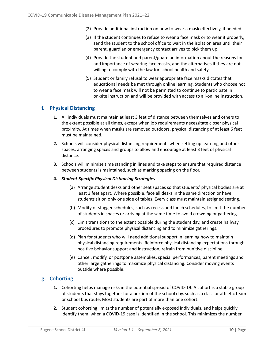- (2) Provide additional instruction on how to wear a mask effectively, if needed.
- (3) If the student continues to refuse to wear a face mask or to wear it properly, send the student to the school office to wait in the isolation area until their parent, guardian or emergency contact arrives to pick them up.
- (4) Provide the student and parent/guardian information about the reasons for and importance of wearing face masks, and the alternatives if they are not willing to comply with the law for school health and safety.
- (5) Student or family refusal to wear appropriate face masks dictates that educational needs be met through online learning. Students who choose not to wear a face mask will not be permitted to continue to participate in on-site instruction and will be provided with access to all-online instruction.

# <span id="page-9-0"></span>**f. Physical Distancing**

- **1.** All individuals must maintain at least 3 feet of distance between themselves and others to the extent possible at all times, except when job requirements necessitate closer physical proximity. At times when masks are removed outdoors, physical distancing of at least 6 feet must be maintained.
- **2.** Schools will consider physical distancing requirements when setting up learning and other spaces, arranging spaces and groups to allow and encourage at least 3 feet of physical distance.
- **3.** Schools will minimize time standing in lines and take steps to ensure that required distance between students is maintained, such as marking spacing on the floor.

#### <span id="page-9-1"></span>**4.** *Student-Specific Physical Distancing Strategies*

- (a) Arrange student desks and other seat spaces so that students' physical bodies are at least 3 feet apart. Where possible, face all desks in the same direction or have students sit on only one side of tables. Every class must maintain assigned seating.
- (b) Modify or stagger schedules, such as recess and lunch schedules, to limit the number of students in spaces or arriving at the same time to avoid crowding or gathering.
- (c) Limit transitions to the extent possible during the student day, and create hallway procedures to promote physical distancing and to minimize gatherings.
- (d) Plan for students who will need additional support in learning how to maintain physical distancing requirements. Reinforce physical distancing expectations through positive behavior support and instruction; refrain from punitive discipline.
- (e) Cancel, modify, or postpone assemblies, special performances, parent meetings and other large gatherings to maximize physical distancing. Consider moving events outside where possible.

# <span id="page-9-2"></span>**g. Cohorting**

- **1.** Cohorting helps manage risks in the potential spread of COVID-19. A cohort is a stable group of students that stays together for a portion of the school day, such as a class or athletic team or school bus route. Most students are part of more than one cohort.
- **2.** Student cohorting limits the number of potentially exposed individuals, and helps quickly identify them, when a COVID-19 case is identified in the school. This minimizes the number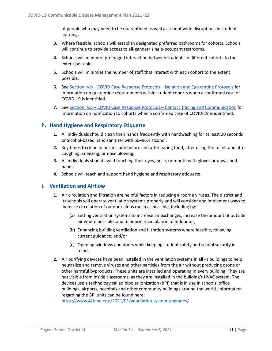of people who may need to be quarantined as well as school-wide disruptions in student learning.

- **3.** Where feasible, schools will establish designated preferred bathrooms for cohorts. Schools will continue to provide access to all-gender/ single-occupant restrooms.
- **4.** Schools will minimize prolonged interaction between students in different cohorts to the extent possible.
- **5.** Schools will minimize the number of staff that interact with each cohort to the extent possible.
- **6.** See Section IV.b COVID Case Response Protocols Isolation and [Quarantine](#page-12-0) Protocols for information on quarantine requirements within student cohorts when a confirmed case of COVID-19 is identified.
- **7.** See Section IV.d COVID Case Response Protocols Contact Tracing and [Communication](#page-12-0) for information on notification to cohorts when a confirmed case of COVID-19 is identified.

# <span id="page-10-0"></span>**h. Hand Hygiene and Respiratory Etiquette**

- **1.** All individuals should clean their hands frequently with handwashing for at least 20 seconds or alcohol-based hand sanitizer with 60–96% alcohol.
- **2.** Key times to clean hands include before and after eating food, after using the toilet, and after coughing, sneezing, or nose blowing.
- **3.** All individuals should avoid touching their eyes, nose, or mouth with gloves or unwashed hands.
- **4.** Schools will teach and support hand hygiene and respiratory etiquette.

# <span id="page-10-1"></span>**i. Ventilation and Airflow**

- **1.** Air circulation and filtration are helpful factors in reducing airborne viruses. The district and its schools will operate ventilation systems properly and will consider and implement ways to increase circulation of outdoor air as much as possible, including by:
	- (a) Setting ventilation systems to increase air exchanges, increase the amount of outside air where possible, and minimize recirculation of indoor air;
	- (b) Enhancing building ventilation and filtration systems where feasible, following current guidance; and/or
	- (c) Opening windows and doors while keeping student safety and school security in mind.
- **2.** Air purifying devices have been installed in the ventilation systems in all 4J buildings to help neutralize and remove viruses and other particles from the air without producing ozone or other harmful byproducts. [These](https://www.4j.lane.edu/2021/01/ventilation-system-upgrades/) units are installed and operating in every building. They are not visible from inside classrooms, as they are installed in the building's HVAC system. The devices use a technology called bipolar ionization (BPI) that is in use in schools, office buildings, airports, hospitals and other community buildings around the world. Information regarding the BPI units can be found here[:](https://www.4j.lane.edu/2021/01/ventilation-system-upgrades/)

<https://www.4j.lane.edu/2021/01/ventilation-system-upgrades/>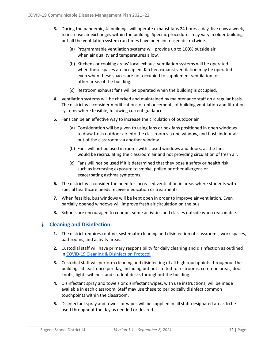- **3.** During the pandemic, 4J buildings will operate exhaust fans 24 hours a day, five days a week, to increase air exchanges within the building. Specific procedures may vary in older buildings but all the ventilation system run times have been increased districtwide.
	- (a) Programmable ventilation systems will provide up to 100% outside air when air quality and temperatures allow.
	- (b) Kitchens or cooking areas' local exhaust ventilation systems will be operated when these spaces are occupied. Kitchen exhaust ventilation may be operated even when these spaces are not occupied to supplement ventilation for other areas of the building.
	- (c) Restroom exhaust fans will be operated when the building is occupied.
- **4.** Ventilation systems will be checked and maintained by maintenance staff on a regular basis. The district will consider modifications or enhancements of building ventilation and filtration systems where feasible, following current guidance.
- **5.** Fans can be an effective way to increase the circulation of outdoor air.
	- (a) Consideration will be given to using fans or box fans positioned in open windows to draw fresh outdoor air into the classroom via one window, and flush indoor air out of the classroom via another window.
	- (b) Fans will not be used in rooms with closed windows and doors, as the fans would be recirculating the classroom air and not providing circulation of fresh air.
	- (c) Fans will not be used if it is determined that they pose a safety or health risk, such as increasing exposure to smoke, pollen or other allergens or exacerbating asthma symptoms.
- **6.** The district will consider the need for increased ventilation in areas where students with special healthcare needs receive medication or treatments.
- **7.** When feasible, bus windows will be kept open in order to improve air ventilation. Even partially opened windows will improve fresh air circulation on the bus.
- **8.** Schools are encouraged to conduct some activities and classes outside when reasonable.

# <span id="page-11-0"></span>**j. Cleaning and Disinfection**

- **1.** The district requires routine, systematic cleaning and disinfection of classrooms, work spaces, bathrooms, and activity areas.
- **2.** Custodial staff will have primary responsibility for daily cleaning and disinfection as outlined in COVID-19 Cleaning & [Disinfection](https://docs.google.com/document/d/e/2PACX-1vT26eC_OaVLftQh7nAJT108ptUAfAZVAUMb6P7qpQt7GNsrvIcv8o-nYFUoMmo1Efu5aO-TWq6viO9n/pub) Protocol.
- **3.** Custodial staff will perform cleaning and disinfecting of all high touchpoints throughout the buildings at least once per day, including but not limited to restrooms, common areas, door knobs, light switches, and student desks throughout the building.
- **4.** Disinfectant spray and towels or disinfectant wipes, with use instructions, will be made available in each classroom. Staff may use these to periodically disinfect common touchpoints within the classroom.
- **5.** Disinfectant spray and towels or wipes will be supplied in all staff-designated areas to be used throughout the day as needed or desired.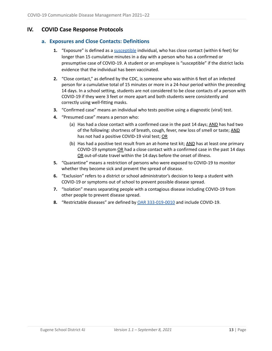# <span id="page-12-1"></span><span id="page-12-0"></span>**IV. COVID Case Response Protocols**

# **a. Exposures and Close Contacts: Definitions**

- **1.** "Exposure" is defined as a [susceptible](https://secure.sos.state.or.us/oard/viewSingleRule.action?ruleVrsnRsn=279421) individual, who has close contact (within 6 feet) for longer than 15 cumulative minutes in a day with a person who has a confirmed or presumptive case of COVID-19. A student or an employee is "susceptible" if the district lacks evidence that the individual has been vaccinated.
- **2.** "Close contact," as defined by the CDC, is someone who was within 6 feet of an infected person for a cumulative total of 15 minutes or more in a 24-hour period within the preceding 14 days. In a school setting, students are not considered to be close contacts of a person with COVID-19 if they were 3 feet or more apart and both students were consistently and correctly using well-fitting masks.
- **3.** "Confirmed case" means an individual who tests positive using a diagnostic (viral) test.
- **4.** "Presumed case" means a person who:
	- (a) Has had a close contact with a confirmed case in the past 14 days;  $\overline{AND}$  has had two of the following: shortness of breath, cough, fever, new loss of smell or taste; AND has not had a positive COVID-19 viral test; OR
	- (b) Has had a positive test result from an at-home test kit; AND has at least one primary COVID-19 symptom OR had a close contact with a confirmed case in the past 14 days OR out-of-state travel within the 14 days before the onset of illness.
- **5.** "Quarantine" means a restriction of persons who were exposed to COVID-19 to monitor whether they become sick and prevent the spread of disease.
- **6.** "Exclusion" refers to a district or school administrator's decision to keep a student with COVID-19 or symptoms out of school to prevent possible disease spread.
- **7.** "Isolation" means separating people with a contagious disease including COVID-19 from other people to prevent disease spread.
- **8.** "Restrictable diseases" are defined by OAR [333-019-0010](https://secure.sos.state.or.us/oard/viewSingleRule.action?ruleVrsnRsn=279421) and include COVID-19.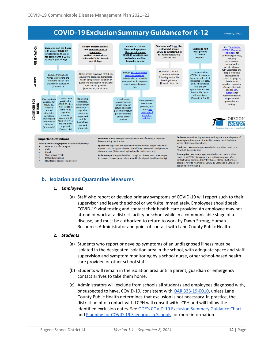# **COVID-19 Exclusion Summary Guidance for K-12**



# <span id="page-13-1"></span><span id="page-13-0"></span>**b. Isolation and Quarantine Measures**

#### **1.** *Employees*

(a) Staff who report or develop primary symptoms of COVID-19 will report such to their supervisor and leave the school or worksite immediately. Employees should seek COVID-19 viral testing and contact their health care provider. An employee may not attend or work at a district facility or school while in a communicable stage of a disease, and must be authorized to return to work by Dawn Strong, Human Resources Administrator and point of contact with Lane County Public Health.

#### <span id="page-13-2"></span>**2.** *Students*

- (a) Students who report or develop symptoms of an undiagnosed illness must be isolated in the designated isolation area in the school, with adequate space and staff supervision and symptom monitoring by a school nurse, other school-based health care provider, or other school staff.
- (b) Students will remain in the isolation area until a parent, guardian or emergency contact arrives to take them home.
- (c) Administrators will exclude from schools all students and employees diagnosed with, or suspected to have, COVID-19, consistent with OAR [333-19-0010](https://secure.sos.state.or.us/oard/viewSingleRule.action?ruleVrsnRsn=279421), unless Lane County Public Health determines that exclusion is not necessary. In practice, the district point of contact with LCPH will consult with LCPH and will follow the identified exclusion dates. See ODE's [COVID-19](https://www.oregon.gov/ode/students-and-family/healthsafety/Documents/COVID-19%20Exclusion%20Summary%20Chart.pdf) Exclusion Summary Guidance Chart and Planning for [COVID-19](https://www.oregon.gov/ode/students-and-family/healthsafety/Documents/Planning%20and%20Responding%20to%20COVID-19%20Scenarios%20in%20Schools.pdf) Scenarios in Schools for more information.

**Version 7/22/2021**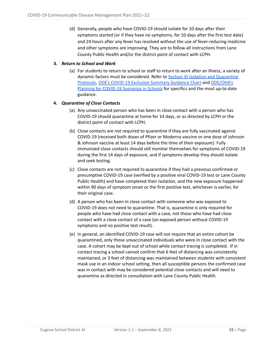(d) Generally, people who have COVID-19 should isolate for 10 days after their symptoms started (or if they have no symptoms, for 10 days after the first test date) and 24 hours after any fever has resolved without the use of fever-reducing medicine and other symptoms are improving. They are to follow all instructions from Lane County Public Health and/or the district point of contact with LCPH.

#### <span id="page-14-0"></span>**3.** *Return to School and Work*

(a) For students to return to school or staff to return to work after an illness, a variety of dynamic factors must be considered. Refer to Section [VI-Isolation](#page-12-0) and Quarantine [Protocols](#page-12-0), ODE's [COVID-19](https://www.oregon.gov/ode/students-and-family/healthsafety/Documents/COVID-19%20Exclusion%20Summary%20Chart.pdf) Exclusion Summary Guidance Chart and [ODE/OHA's](https://www.oregon.gov/ode/students-and-family/healthsafety/Documents/Planning%20and%20Responding%20to%20COVID-19%20Scenarios%20in%20Schools.pdf) Planning for [COVID-19](https://www.oregon.gov/ode/students-and-family/healthsafety/Documents/Planning%20and%20Responding%20to%20COVID-19%20Scenarios%20in%20Schools.pdf) Scenarios in Schools for specifics and the most up-to-date guidance.

#### <span id="page-14-1"></span>**4.** *Quarantine of Close Contacts*

- (a) Any unvaccinated person who has been in close contact with a person who has COVID-19 should quarantine at home for 14 days, or as directed by LCPH or the district point of contact with LCPH.
- (b) Close contacts are not required to quarantine if they are fully vaccinated against COVID-19 (received both doses of Pfizer or Moderna vaccine or one dose of Johnson & Johnson vaccine at least 14 days before the time of their exposure). Fully immunized close contacts should still monitor themselves for symptoms of COVID-19 during the first 14 days of exposure, and if symptoms develop they should isolate and seek testing.
- (c) Close contacts are not required to quarantine if they had a previous confirmed or presumptive COVID-19 case (verified by a positive viral COVID-19 test or Lane County Public Health) and have completed their isolation, and the new exposure happened within 90 days of symptom onset or the first positive test, whichever is earlier, for their original case.
- (d) A person who has been in close contact with someone who was exposed to COVID-19 does not need to quarantine. That is, quarantine is only required for people who have had close contact with a case, not those who have had close contact with a close contact of a case (an exposed person without COVID-19 symptoms and no positive test result).
- (e) In general, an identified COVID-19 case will not require that an entire cohort be quarantined, only those unvaccinated individuals who were in close contact with the case. A cohort may be kept out of school while contact tracing is completed. If in contact tracing a school cannot confirm that 6 feet of distancing was consistently maintained, or 3 feet of distancing was maintained between students with consistent mask use in an indoor school setting, then all susceptible persons the confirmed case was in contact with may be considered potential close contacts and will need to quarantine as directed in consultation with Lane County Public Health.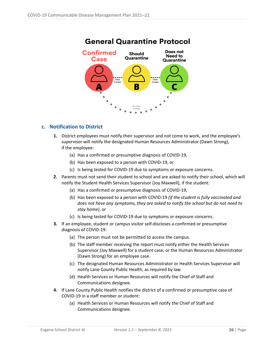

# **General Quarantine Protocol**

# <span id="page-15-0"></span>**c. Notification to District**

- **1.** District employees must notify their supervisor and not come to work, and the employee's supervisor will notify the designated Human Resources Administrator (Dawn Strong), if the employee:
	- (a) Has a confirmed or presumptive diagnosis of COVID-19,
	- (b) Has been exposed to a person with COVID-19, or
	- (c) Is being tested for COVID-19 due to symptoms or exposure concerns.
- **2.** Parents must not send their student to school and are asked to notify their school, which will notify the Student Health Services Supervisor (Joy Maxwell), if the student:
	- (a) Has a confirmed or presumptive diagnosis of COVID-19,
	- (b) Has been exposed to a person with COVID-19 *(if the student is fully vaccinated and does not have any symptoms, they are asked to notify the school but do not need to stay home)*, or
	- (c) Is being tested for COVID-19 due to symptoms or exposure concerns.
- **3.** If an employee, student or campus visitor self-discloses a confirmed or presumptive diagnosis of COVID-19:
	- (a) The person must not be permitted to access the campus.
	- (b) The staff member receiving the report must notify either the Health Services Supervisor (Joy Maxwell) for a student case, or the Human Resources Administrator (Dawn Strong) for an employee case.
	- (c) The designated Human Resources Administrator or Health Services Supervisor will notify Lane County Public Health, as required by law.
	- (d) Health Services or Human Resources will notify the Chief of Staff and Communications designee.
- **4.** If Lane County Public Health notifies the district of a confirmed or presumptive case of COVID-19 in a staff member or student:
	- (a) Health Services or Human Resources will notify the Chief of Staff and Communications designee.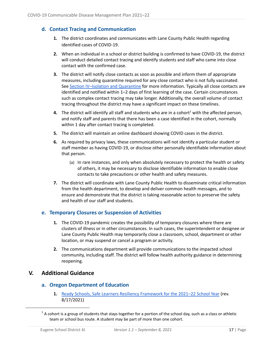# <span id="page-16-0"></span>**d. Contact Tracing and Communication**

- **1.** The district coordinates and communicates with Lane County Public Health regarding identified cases of COVID-19.
- **2.** When an individual in a school or district building is confirmed to have COVID-19, the district will conduct detailed contact tracing and identify students and staff who came into close contact with the confirmed case.
- **3.** The district will notify close contacts as soon as possible and inform them of appropriate measures, including quarantine required for any close contact who is not fully vaccinated. See Section [IV–Isolation](#page-12-0) and Quarantine for more information. Typically all close contacts are identified and notified within 1–2 days of first learning of the case. Certain circumstances such as complex contact tracing may take longer. Additionally, the overall volume of contact tracing throughout the district may have a significant impact on these timelines.
- **4.** The district will identify all staff and students who are in a cohort<sup>1</sup> with the affected person, and notify staff and parents that there has been a case identified in the cohort, normally within 1 day after contact tracing is completed.
- **5.** The district will maintain an online dashboard showing COVID cases in the district.
- **6.** As required by privacy laws, these communications will not identify a particular student or staff member as having COVID-19, or disclose other personally identifiable information about that person.
	- (a) In rare instances, and only when absolutely necessary to protect the health or safety of others, it may be necessary to disclose identifiable information to enable close contacts to take precautions or other health and safety measures.
- **7.** The district will coordinate with Lane County Public Health to disseminate critical information from the health department, to develop and deliver common health messages, and to ensure and demonstrate that the district is taking reasonable action to preserve the safety and health of our staff and students.

# <span id="page-16-1"></span>**e. Temporary Closures or Suspension of Activities**

- **1.** The COVID-19 pandemic creates the possibility of temporary closures where there are clusters of illness or in other circumstances. In such cases, the superintendent or designee or Lane County Public Health may temporarily close a classroom, school, department or other location, or may suspend or cancel a program or activity.
- **2.** The communications department will provide communications to the impacted school community, including staff. The district will follow health authority guidance in determining reopening.

# <span id="page-16-3"></span><span id="page-16-2"></span>**V. Additional Guidance**

# **a. Oregon Department of Education**

**1.** Ready Schools, Safe Learners Resiliency [Framework](https://www.oregon.gov/ode/students-and-family/healthsafety/Documents/Ready%20Schools%20Safe%20Learners%20Resiliency%20Framework%20for%20the%202021-22%20School%20Year.pdf) for the 2021–22 School Year (rev. 8/17/2021)

 $1$  A cohort is a group of students that stays together for a portion of the school day, such as a class or athletic team or school bus route. A student may be part of more than one cohort.